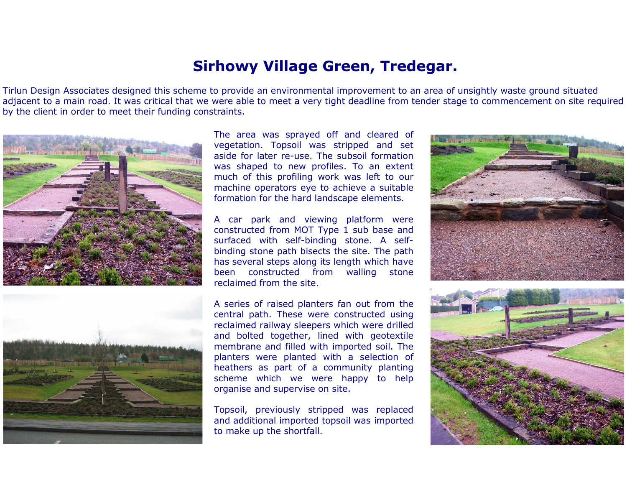## Sirhowy Village Green, Tredegar.

Tirlun Design Associates designed this scheme to provide an environmental improvement to an area of unsightly waste ground situated adjacent to a main road. It was critical that we were able to meet a very tight deadline from tender stage to commencement on site requiredby the client in order to meet their funding constraints.





The area was sprayed off and cleared of vegetation. Topsoil was stripped and set aside for later re-use. The subsoil formation was shaped to new profiles. To an extent much of this profiling work was left to our machine operators eye to achieve a suitableformation for the hard landscape elements.

A car park and viewing platform were constructed from MOT Type 1 sub base and surfaced with self-binding stone. A selfbinding stone path bisects the site. The path has several steps along its length which havestone been constructed from walling reclaimed from the site.

A series of raised planters fan out from the central path. These were constructed using reclaimed railway sleepers which were drilled and bolted together, lined with geotextile membrane and filled with imported soil. The planters were planted with a selection of heathers as part of a community planting scheme which we were happy to helporganise and supervise on site.

Topsoil, previously stripped was replaced and additional imported topsoil was importedto make up the shortfall.